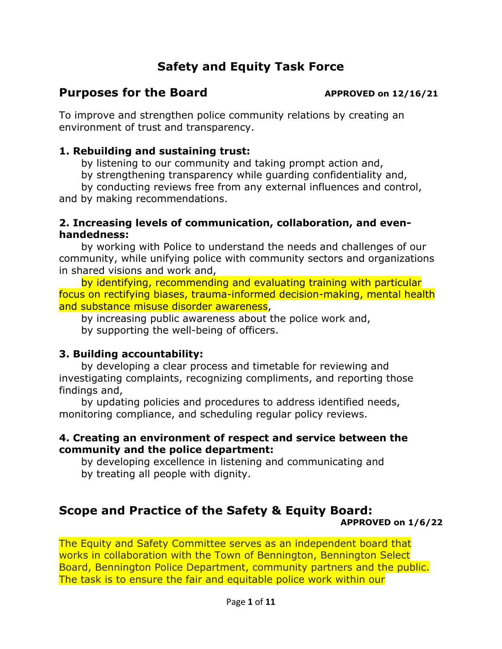# **Safety and Equity Task Force**

## **Purposes for the Board APPROVED on 12/16/21**

To improve and strengthen police community relations by creating an environment of trust and transparency.

#### **1. Rebuilding and sustaining trust:**

by listening to our community and taking prompt action and,

by strengthening transparency while guarding confidentiality and,

by conducting reviews free from any external influences and control, and by making recommendations.

#### **2. Increasing levels of communication, collaboration, and evenhandedness:**

by working with Police to understand the needs and challenges of our community, while unifying police with community sectors and organizations in shared visions and work and,

by identifying, recommending and evaluating training with particular focus on rectifying biases, trauma-informed decision-making, mental health and substance misuse disorder awareness,

by increasing public awareness about the police work and, by supporting the well-being of officers.

### **3. Building accountability:**

by developing a clear process and timetable for reviewing and investigating complaints, recognizing compliments, and reporting those findings and,

by updating policies and procedures to address identified needs, monitoring compliance, and scheduling regular policy reviews.

#### **4. Creating an environment of respect and service between the community and the police department:**

by developing excellence in listening and communicating and by treating all people with dignity.

#### **Scope and Practice of the Safety & Equity Board: APPROVED on 1/6/22**

The Equity and Safety Committee serves as an independent board that works in collaboration with the Town of Bennington, Bennington Select Board, Bennington Police Department, community partners and the public. The task is to ensure the fair and equitable police work within our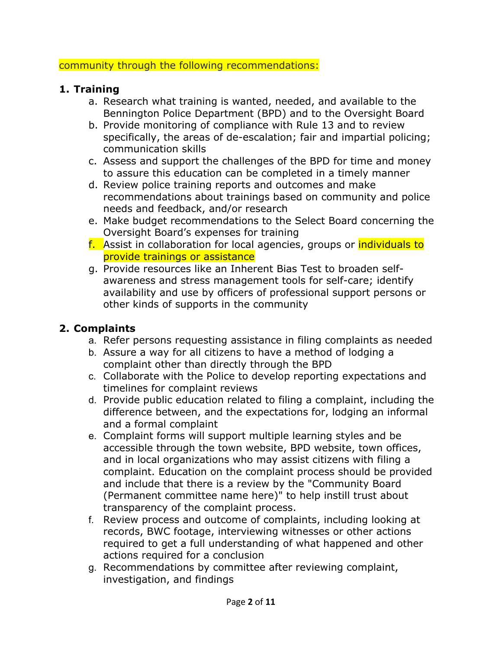#### community through the following recommendations:

### **1. Training**

- a. Research what training is wanted, needed, and available to the Bennington Police Department (BPD) and to the Oversight Board
- b. Provide monitoring of compliance with Rule 13 and to review specifically, the areas of de-escalation; fair and impartial policing; communication skills
- c. Assess and support the challenges of the BPD for time and money to assure this education can be completed in a timely manner
- d. Review police training reports and outcomes and make recommendations about trainings based on community and police needs and feedback, and/or research
- e. Make budget recommendations to the Select Board concerning the Oversight Board's expenses for training
- f. Assist in collaboration for local agencies, groups or individuals to provide trainings or assistance
- g. Provide resources like an Inherent Bias Test to broaden selfawareness and stress management tools for self-care; identify availability and use by officers of professional support persons or other kinds of supports in the community

# **2. Complaints**

- a. Refer persons requesting assistance in filing complaints as needed
- b. Assure a way for all citizens to have a method of lodging a complaint other than directly through the BPD
- c. Collaborate with the Police to develop reporting expectations and timelines for complaint reviews
- d. Provide public education related to filing a complaint, including the difference between, and the expectations for, lodging an informal and a formal complaint
- e. Complaint forms will support multiple learning styles and be accessible through the town website, BPD website, town offices, and in local organizations who may assist citizens with filing a complaint. Education on the complaint process should be provided and include that there is a review by the "Community Board (Permanent committee name here)" to help instill trust about transparency of the complaint process.
- f. Review process and outcome of complaints, including looking at records, BWC footage, interviewing witnesses or other actions required to get a full understanding of what happened and other actions required for a conclusion
- g. Recommendations by committee after reviewing complaint, investigation, and findings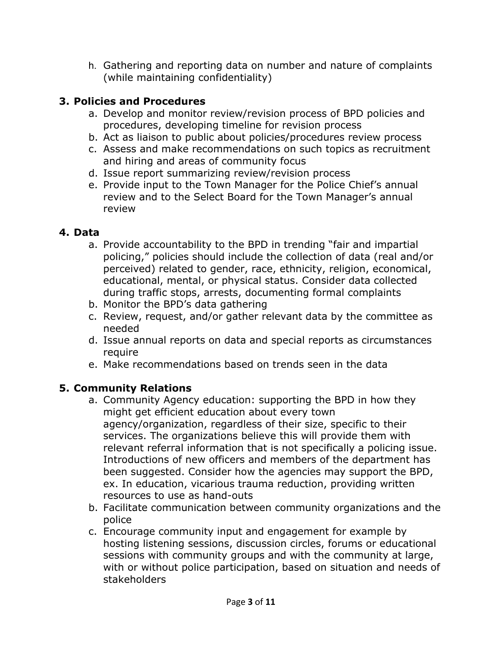h. Gathering and reporting data on number and nature of complaints (while maintaining confidentiality)

# **3. Policies and Procedures**

- a. Develop and monitor review/revision process of BPD policies and procedures, developing timeline for revision process
- b. Act as liaison to public about policies/procedures review process
- c. Assess and make recommendations on such topics as recruitment and hiring and areas of community focus
- d. Issue report summarizing review/revision process
- e. Provide input to the Town Manager for the Police Chief's annual review and to the Select Board for the Town Manager's annual review

#### **4. Data**

- a. Provide accountability to the BPD in trending "fair and impartial policing," policies should include the collection of data (real and/or perceived) related to gender, race, ethnicity, religion, economical, educational, mental, or physical status. Consider data collected during traffic stops, arrests, documenting formal complaints
- b. Monitor the BPD's data gathering
- c. Review, request, and/or gather relevant data by the committee as needed
- d. Issue annual reports on data and special reports as circumstances require
- e. Make recommendations based on trends seen in the data

# **5. Community Relations**

- a. Community Agency education: supporting the BPD in how they might get efficient education about every town agency/organization, regardless of their size, specific to their services. The organizations believe this will provide them with relevant referral information that is not specifically a policing issue. Introductions of new officers and members of the department has been suggested. Consider how the agencies may support the BPD, ex. In education, vicarious trauma reduction, providing written resources to use as hand-outs
- b. Facilitate communication between community organizations and the police
- c. Encourage community input and engagement for example by hosting listening sessions, discussion circles, forums or educational sessions with community groups and with the community at large, with or without police participation, based on situation and needs of stakeholders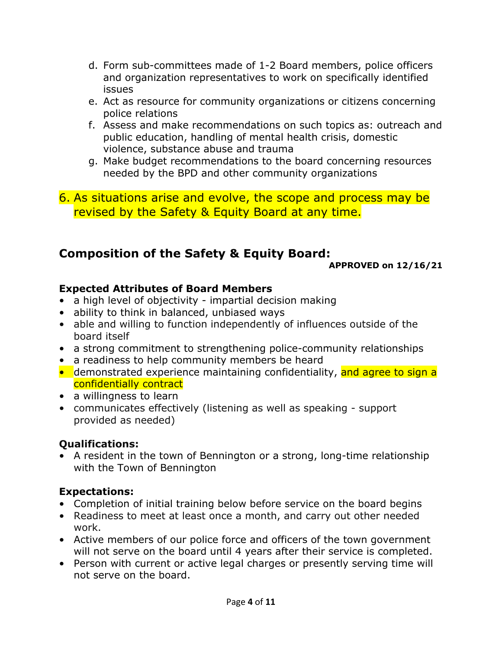- d. Form sub-committees made of 1-2 Board members, police officers and organization representatives to work on specifically identified issues
- e. Act as resource for community organizations or citizens concerning police relations
- f. Assess and make recommendations on such topics as: outreach and public education, handling of mental health crisis, domestic violence, substance abuse and trauma
- g. Make budget recommendations to the board concerning resources needed by the BPD and other community organizations

### 6. As situations arise and evolve, the scope and process may be revised by the Safety & Equity Board at any time.

# **Composition of the Safety & Equity Board:**

**APPROVED on 12/16/21**

## **Expected Attributes of Board Members**

- a high level of objectivity impartial decision making
- ability to think in balanced, unbiased ways
- able and willing to function independently of influences outside of the board itself
- a strong commitment to strengthening police-community relationships
- a readiness to help community members be heard
- demonstrated experience maintaining confidentiality, and agree to sign a confidentially contract
- a willingness to learn
- communicates effectively (listening as well as speaking support provided as needed)

# **Qualifications:**

• A resident in the town of Bennington or a strong, long-time relationship with the Town of Bennington

# **Expectations:**

- Completion of initial training below before service on the board begins
- Readiness to meet at least once a month, and carry out other needed work.
- Active members of our police force and officers of the town government will not serve on the board until 4 years after their service is completed.
- Person with current or active legal charges or presently serving time will not serve on the board.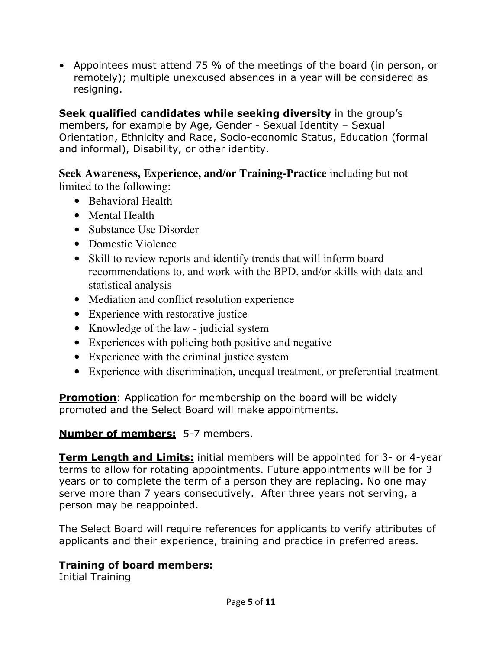• Appointees must attend 75 % of the meetings of the board (in person, or remotely); multiple unexcused absences in a year will be considered as resigning.

**Seek qualified candidates while seeking diversity** in the group's members, for example by Age, Gender - Sexual Identity – Sexual Orientation, Ethnicity and Race, Socio-economic Status, Education (formal and informal), Disability, or other identity.

**Seek Awareness, Experience, and/or Training-Practice** including but not limited to the following:

- Behavioral Health
- Mental Health
- Substance Use Disorder
- Domestic Violence
- Skill to review reports and identify trends that will inform board recommendations to, and work with the BPD, and/or skills with data and statistical analysis
- Mediation and conflict resolution experience
- Experience with restorative justice
- Knowledge of the law judicial system
- Experiences with policing both positive and negative
- Experience with the criminal justice system
- Experience with discrimination, unequal treatment, or preferential treatment

**Promotion**: Application for membership on the board will be widely promoted and the Select Board will make appointments.

### **Number of members:** 5-7 members.

**Term Length and Limits:** initial members will be appointed for 3- or 4-year terms to allow for rotating appointments. Future appointments will be for 3 years or to complete the term of a person they are replacing. No one may serve more than 7 years consecutively. After three years not serving, a person may be reappointed.

The Select Board will require references for applicants to verify attributes of applicants and their experience, training and practice in preferred areas.

# **Training of board members:**

Initial Training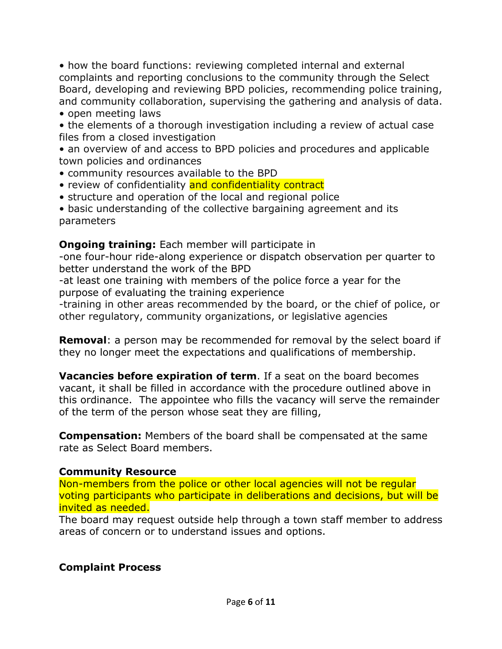• how the board functions: reviewing completed internal and external complaints and reporting conclusions to the community through the Select Board, developing and reviewing BPD policies, recommending police training, and community collaboration, supervising the gathering and analysis of data.

• open meeting laws

• the elements of a thorough investigation including a review of actual case files from a closed investigation

• an overview of and access to BPD policies and procedures and applicable town policies and ordinances

- community resources available to the BPD
- review of confidentiality and confidentiality contract
- structure and operation of the local and regional police

• basic understanding of the collective bargaining agreement and its parameters

**Ongoing training:** Each member will participate in

-one four-hour ride-along experience or dispatch observation per quarter to better understand the work of the BPD

-at least one training with members of the police force a year for the purpose of evaluating the training experience

-training in other areas recommended by the board, or the chief of police, or other regulatory, community organizations, or legislative agencies

**Removal**: a person may be recommended for removal by the select board if they no longer meet the expectations and qualifications of membership.

**Vacancies before expiration of term**. If a seat on the board becomes vacant, it shall be filled in accordance with the procedure outlined above in this ordinance. The appointee who fills the vacancy will serve the remainder of the term of the person whose seat they are filling,

**Compensation:** Members of the board shall be compensated at the same rate as Select Board members.

#### **Community Resource**

Non-members from the police or other local agencies will not be regular voting participants who participate in deliberations and decisions, but will be invited as needed.

The board may request outside help through a town staff member to address areas of concern or to understand issues and options.

#### **Complaint Process**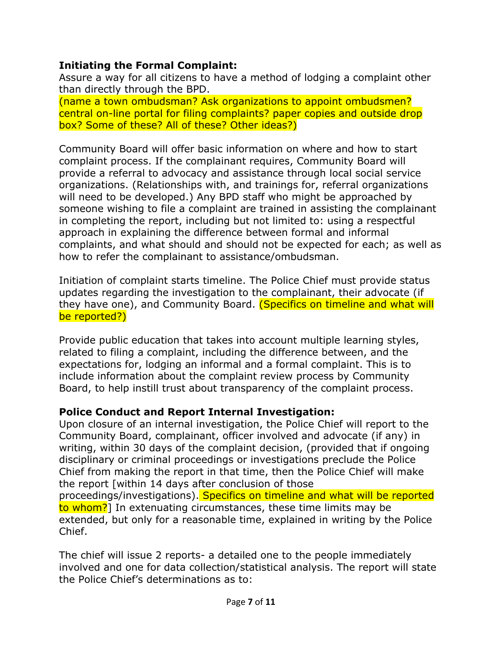#### **Initiating the Formal Complaint:**

Assure a way for all citizens to have a method of lodging a complaint other than directly through the BPD.

(name a town ombudsman? Ask organizations to appoint ombudsmen? central on-line portal for filing complaints? paper copies and outside drop box? Some of these? All of these? Other ideas?)

Community Board will offer basic information on where and how to start complaint process. If the complainant requires, Community Board will provide a referral to advocacy and assistance through local social service organizations. (Relationships with, and trainings for, referral organizations will need to be developed.) Any BPD staff who might be approached by someone wishing to file a complaint are trained in assisting the complainant in completing the report, including but not limited to: using a respectful approach in explaining the difference between formal and informal complaints, and what should and should not be expected for each; as well as how to refer the complainant to assistance/ombudsman.

Initiation of complaint starts timeline. The Police Chief must provide status updates regarding the investigation to the complainant, their advocate (if they have one), and Community Board. (Specifics on timeline and what will be reported?)

Provide public education that takes into account multiple learning styles, related to filing a complaint, including the difference between, and the expectations for, lodging an informal and a formal complaint. This is to include information about the complaint review process by Community Board, to help instill trust about transparency of the complaint process.

### **Police Conduct and Report Internal Investigation:**

Chief.

Upon closure of an internal investigation, the Police Chief will report to the Community Board, complainant, officer involved and advocate (if any) in writing, within 30 days of the complaint decision, (provided that if ongoing disciplinary or criminal proceedings or investigations preclude the Police Chief from making the report in that time, then the Police Chief will make the report [within 14 days after conclusion of those proceedings/investigations). Specifics on timeline and what will be reported to whom?] In extenuating circumstances, these time limits may be extended, but only for a reasonable time, explained in writing by the Police

The chief will issue 2 reports- a detailed one to the people immediately involved and one for data collection/statistical analysis. The report will state the Police Chief's determinations as to: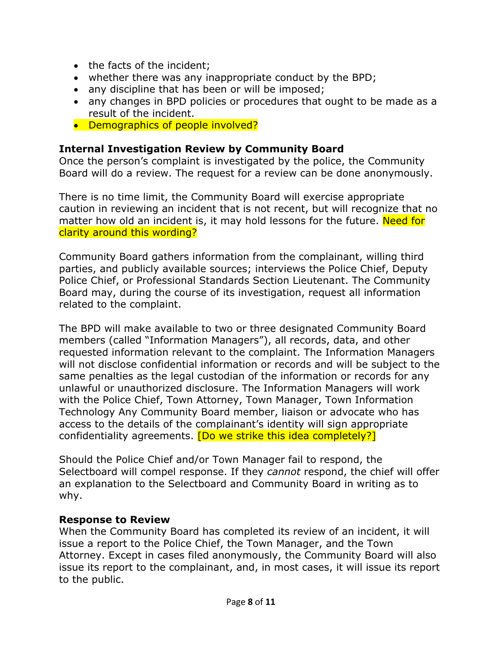- the facts of the incident:
- whether there was any inappropriate conduct by the BPD;
- any discipline that has been or will be imposed;
- any changes in BPD policies or procedures that ought to be made as a result of the incident.
- Demographics of people involved?

#### **Internal Investigation Review by Community Board**

Once the person's complaint is investigated by the police, the Community Board will do a review. The request for a review can be done anonymously.

There is no time limit, the Community Board will exercise appropriate caution in reviewing an incident that is not recent, but will recognize that no matter how old an incident is, it may hold lessons for the future. Need for clarity around this wording?

Community Board gathers information from the complainant, willing third parties, and publicly available sources; interviews the Police Chief, Deputy Police Chief, or Professional Standards Section Lieutenant. The Community Board may, during the course of its investigation, request all information related to the complaint.

The BPD will make available to two or three designated Community Board members (called "Information Managers"), all records, data, and other requested information relevant to the complaint. The Information Managers will not disclose confidential information or records and will be subject to the same penalties as the legal custodian of the information or records for any unlawful or unauthorized disclosure. The Information Managers will work with the Police Chief, Town Attorney, Town Manager, Town Information Technology Any Community Board member, liaison or advocate who has access to the details of the complainant's identity will sign appropriate confidentiality agreements. [Do we strike this idea completely?]

Should the Police Chief and/or Town Manager fail to respond, the Selectboard will compel response. If they *cannot* respond, the chief will offer an explanation to the Selectboard and Community Board in writing as to why.

#### **Response to Review**

When the Community Board has completed its review of an incident, it will issue a report to the Police Chief, the Town Manager, and the Town Attorney. Except in cases filed anonymously, the Community Board will also issue its report to the complainant, and, in most cases, it will issue its report to the public.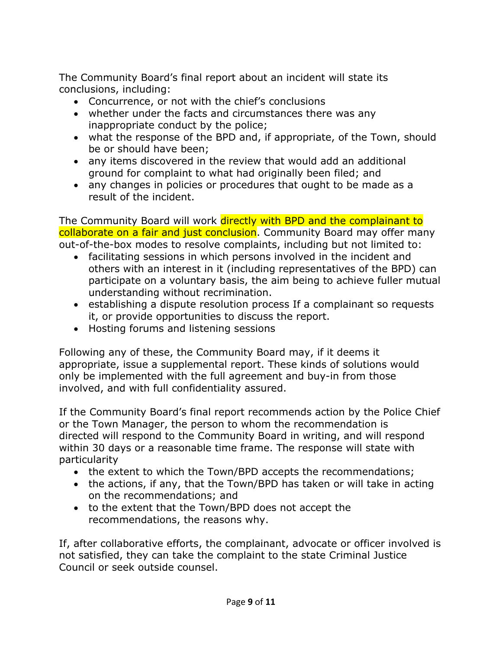The Community Board's final report about an incident will state its conclusions, including:

- Concurrence, or not with the chief's conclusions
- whether under the facts and circumstances there was any inappropriate conduct by the police;
- what the response of the BPD and, if appropriate, of the Town, should be or should have been;
- any items discovered in the review that would add an additional ground for complaint to what had originally been filed; and
- any changes in policies or procedures that ought to be made as a result of the incident.

The Community Board will work directly with BPD and the complainant to collaborate on a fair and just conclusion. Community Board may offer many out-of-the-box modes to resolve complaints, including but not limited to:

- facilitating sessions in which persons involved in the incident and others with an interest in it (including representatives of the BPD) can participate on a voluntary basis, the aim being to achieve fuller mutual understanding without recrimination.
- establishing a dispute resolution process If a complainant so requests it, or provide opportunities to discuss the report.
- Hosting forums and listening sessions

Following any of these, the Community Board may, if it deems it appropriate, issue a supplemental report. These kinds of solutions would only be implemented with the full agreement and buy-in from those involved, and with full confidentiality assured.

If the Community Board's final report recommends action by the Police Chief or the Town Manager, the person to whom the recommendation is directed will respond to the Community Board in writing, and will respond within 30 days or a reasonable time frame. The response will state with particularity

- the extent to which the Town/BPD accepts the recommendations;
- the actions, if any, that the Town/BPD has taken or will take in acting on the recommendations; and
- to the extent that the Town/BPD does not accept the recommendations, the reasons why.

If, after collaborative efforts, the complainant, advocate or officer involved is not satisfied, they can take the complaint to the state Criminal Justice Council or seek outside counsel.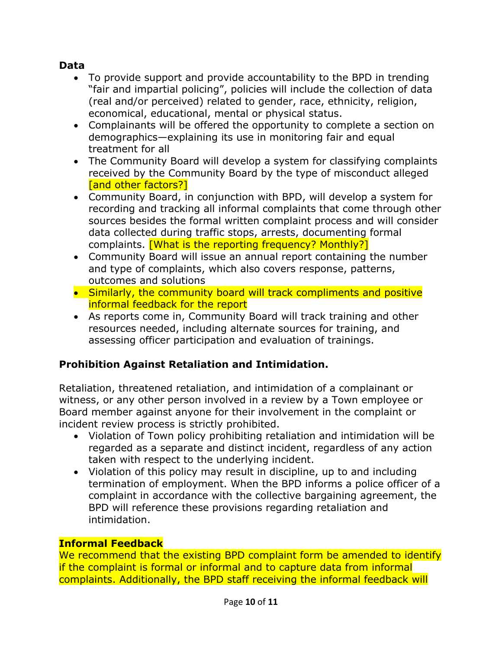#### **Data**

- To provide support and provide accountability to the BPD in trending "fair and impartial policing", policies will include the collection of data (real and/or perceived) related to gender, race, ethnicity, religion, economical, educational, mental or physical status.
- Complainants will be offered the opportunity to complete a section on demographics—explaining its use in monitoring fair and equal treatment for all
- The Community Board will develop a system for classifying complaints received by the Community Board by the type of misconduct alleged [and other factors?]
- Community Board, in conjunction with BPD, will develop a system for recording and tracking all informal complaints that come through other sources besides the formal written complaint process and will consider data collected during traffic stops, arrests, documenting formal complaints. [What is the reporting frequency? Monthly?]
- Community Board will issue an annual report containing the number and type of complaints, which also covers response, patterns, outcomes and solutions
- Similarly, the community board will track compliments and positive informal feedback for the report
- As reports come in, Community Board will track training and other resources needed, including alternate sources for training, and assessing officer participation and evaluation of trainings.

# **Prohibition Against Retaliation and Intimidation.**

Retaliation, threatened retaliation, and intimidation of a complainant or witness, or any other person involved in a review by a Town employee or Board member against anyone for their involvement in the complaint or incident review process is strictly prohibited.

- Violation of Town policy prohibiting retaliation and intimidation will be regarded as a separate and distinct incident, regardless of any action taken with respect to the underlying incident.
- Violation of this policy may result in discipline, up to and including termination of employment. When the BPD informs a police officer of a complaint in accordance with the collective bargaining agreement, the BPD will reference these provisions regarding retaliation and intimidation.

### **Informal Feedback**

We recommend that the existing BPD complaint form be amended to identify if the complaint is formal or informal and to capture data from informal complaints. Additionally, the BPD staff receiving the informal feedback will